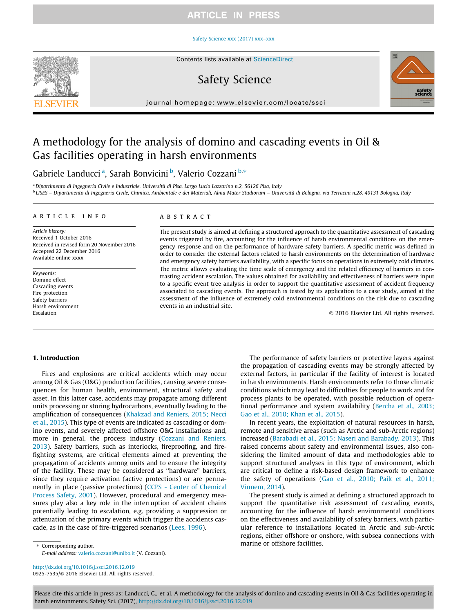## **ARTICLE IN PRESS**

#### [Safety Science xxx \(2017\) xxx–xxx](http://dx.doi.org/10.1016/j.ssci.2016.12.019)



## Safety Science



journal homepage: [www.elsevier.com/locate/ssci](http://www.elsevier.com/locate/ssci)

# A methodology for the analysis of domino and cascading events in Oil & Gas facilities operating in harsh environments

Gabriele Landucci<sup>a</sup>, Sarah Bonvicini <sup>b</sup>, Valerio Cozzani b.\*

<sup>a</sup> Dipartimento di Ingegneria Civile e Industriale, Università di Pisa, Largo Lucio Lazzarino n.2, 56126 Pisa, Italy <sup>b</sup> LISES – Dipartimento di Ingegneria Civile, Chimica, Ambientale e dei Materiali, Alma Mater Studiorum – Università di Bologna, via Terracini n.28, 40131 Bologna, Italy

#### article info

Article history: Received 1 October 2016 Received in revised form 20 November 2016 Accepted 22 December 2016 Available online xxxx

Keywords: Domino effect Cascading events Fire protection Safety barriers Harsh environment Escalation

#### **ABSTRACT**

The present study is aimed at defining a structured approach to the quantitative assessment of cascading events triggered by fire, accounting for the influence of harsh environmental conditions on the emergency response and on the performance of hardware safety barriers. A specific metric was defined in order to consider the external factors related to harsh environments on the determination of hardware and emergency safety barriers availability, with a specific focus on operations in extremely cold climates. The metric allows evaluating the time scale of emergency and the related efficiency of barriers in contrasting accident escalation. The values obtained for availability and effectiveness of barriers were input to a specific event tree analysis in order to support the quantitative assessment of accident frequency associated to cascading events. The approach is tested by its application to a case study, aimed at the assessment of the influence of extremely cold environmental conditions on the risk due to cascading events in an industrial site.

2016 Elsevier Ltd. All rights reserved.

#### 1. Introduction

Fires and explosions are critical accidents which may occur among Oil & Gas (O&G) production facilities, causing severe consequences for human health, environment, structural safety and asset. In this latter case, accidents may propagate among different units processing or storing hydrocarbons, eventually leading to the amplification of consequences (Khakzad and Reniers, 2015; Necci et al., 2015). This type of events are indicated as cascading or domino events, and severely affected offshore O&G installations and, more in general, the process industry (Cozzani and Reniers, 2013). Safety barriers, such as interlocks, fireproofing, and firefighting systems, are critical elements aimed at preventing the propagation of accidents among units and to ensure the integrity of the facility. These may be considered as ''hardware" barriers, since they require activation (active protections) or are permanently in place (passive protections) (CCPS - Center of Chemical Process Safety, 2001). However, procedural and emergency measures play also a key role in the interruption of accident chains potentially leading to escalation, e.g. providing a suppression or attenuation of the primary events which trigger the accidents cascade, as in the case of fire-triggered scenarios (Lees, 1996).

In recent years, the exploitation of natural resources in harsh, remote and sensitive areas (such as Arctic and sub-Arctic regions) increased (Barabadi et al., 2015; Naseri and Barabady, 2013). This raised concerns about safety and environmental issues, also considering the limited amount of data and methodologies able to support structured analyses in this type of environment, which are critical to define a risk-based design framework to enhance the safety of operations (Gao et al., 2010; Paik et al., 2011; Vinnem, 2014).

The present study is aimed at defining a structured approach to support the quantitative risk assessment of cascading events, accounting for the influence of harsh environmental conditions on the effectiveness and availability of safety barriers, with particular reference to installations located in Arctic and sub-Arctic regions, either offshore or onshore, with subsea connections with marine or offshore facilities.

⇑ Corresponding author. E-mail address: [valerio.cozzani@unibo.it](mailto:valerio.cozzani@unibo.it) (V. Cozzani).

<http://dx.doi.org/10.1016/j.ssci.2016.12.019> 0925-7535/© 2016 Elsevier Ltd. All rights reserved.

Please cite this article in press as: Landucci, G., et al. A methodology for the analysis of domino and cascading events in Oil & Gas facilities operating in harsh environments. Safety Sci. (2017), <http://dx.doi.org/10.1016/j.ssci.2016.12.019>

The performance of safety barriers or protective layers against the propagation of cascading events may be strongly affected by external factors, in particular if the facility of interest is located in harsh environments. Harsh environments refer to those climatic conditions which may lead to difficulties for people to work and for process plants to be operated, with possible reduction of operational performance and system availability (Bercha et al., 2003; Gao et al., 2010; Khan et al., 2015).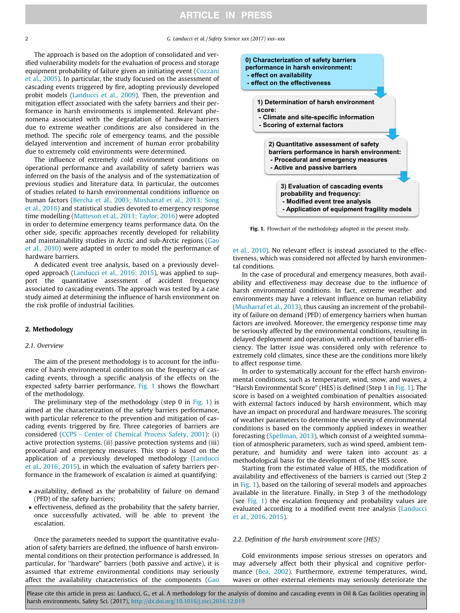### **ARTICLE IN PRESS**

2 G. Landucci et al. / Safety Science xxx (2017) xxx–xxx

The approach is based on the adoption of consolidated and verified vulnerability models for the evaluation of process and storage equipment probability of failure given an initiating event (Cozzani et al., 2005). In particular, the study focused on the assessment of cascading events triggered by fire, adopting previously developed probit models (Landucci et al., 2009). Then, the prevention and mitigation effect associated with the safety barriers and their performance in harsh environments is implemented. Relevant phenomena associated with the degradation of hardware barriers due to extreme weather conditions are also considered in the method. The specific role of emergency teams, and the possible delayed intervention and increment of human error probability due to extremely cold environments were determined.

The influence of extremely cold environment conditions on operational performance and availability of safety barriers was inferred on the basis of the analysis and of the systematization of previous studies and literature data. In particular, the outcomes of studies related to harsh environmental conditions influence on human factors (Bercha et al., 2003; Musharraf et al., 2013; Song et al., 2016) and statistical studies devoted to emergency response time modelling (Matteson et al., 2011; Taylor, 2016) were adopted in order to determine emergency teams performance data. On the other side, specific approaches recently developed for reliability and maintainability studies in Arctic and sub-Arctic regions (Gao et al., 2010) were adapted in order to model the performance of hardware barriers.

A dedicated event tree analysis, based on a previously developed approach (Landucci et al., 2016; 2015), was applied to support the quantitative assessment of accident frequency associated to cascading events. The approach was tested by a case study aimed at determining the influence of harsh environment on the risk profile of industrial facilities.

#### 2. Methodology

#### 2.1. Overview

The aim of the present methodology is to account for the influence of harsh environmental conditions on the frequency of cascading events, through a specific analysis of the effects on the expected safety barrier performance. Fig. 1 shows the flowchart of the methodology.

The preliminary step of the methodology (step 0 in Fig. 1) is aimed at the characterization of the safety barriers performance, with particular reference to the prevention and mitigation of cascading events triggered by fire. Three categories of barriers are considered (CCPS - Center of Chemical Process Safety, 2001): (i) active protection systems, (ii) passive protection systems and (iii) procedural and emergency measures. This step is based on the application of a previously developed methodology (Landucci et al., 2016; 2015), in which the evaluation of safety barriers performance in the framework of escalation is aimed at quantifying:

- availability, defined as the probability of failure on demand (PFD) of the safety barriers;
- effectiveness, defined as the probability that the safety barrier, once successfully activated, will be able to prevent the escalation.

Once the parameters needed to support the quantitative evaluation of safety barriers are defined, the influence of harsh environmental conditions on their protection performance is addressed. In particular, for ''hardware" barriers (both passive and active), it is assumed that extreme environmental conditions may seriously affect the availability characteristics of the components (Gao



Fig. 1. Flowchart of the methodology adopted in the present study.

et al., 2010). No relevant effect is instead associated to the effectiveness, which was considered not affected by harsh environmental conditions.

In the case of procedural and emergency measures, both availability and effectiveness may decrease due to the influence of harsh environmental conditions. In fact, extreme weather and environments may have a relevant influence on human reliability (Musharraf et al., 2013), thus causing an increment of the probability of failure on demand (PFD) of emergency barriers when human factors are involved. Moreover, the emergency response time may be seriously affected by the environmental conditions, resulting in delayed deployment and operation, with a reduction of barrier efficiency. The latter issue was considered only with reference to extremely cold climates, since these are the conditions more likely to affect response time.

In order to systematically account for the effect harsh environmental conditions, such as temperature, wind, snow, and waves, a ''Harsh Environmental Score" (HES) is defined (Step 1 in Fig. 1). The score is based on a weighted combination of penalties associated with external factors induced by harsh environment, which may have an impact on procedural and hardware measures. The scoring of weather parameters to determine the severity of environmental conditions is based on the commonly applied indexes in weather forecasting (Spellman, 2013), which consist of a weighted summation of atmospheric parameters, such as wind speed, ambient temperature, and humidity and were taken into account as a methodological basis for the development of the HES score.

Starting from the estimated value of HES, the modification of availability and effectiveness of the barriers is carried out (Step 2 in Fig. 1), based on the tailoring of several models and approaches available in the literature. Finally, in Step 3 of the methodology (see Fig. 1) the escalation frequency and probability values are evaluated according to a modified event tree analysis (Landucci et al., 2016, 2015).

#### 2.2. Definition of the harsh environment score (HES)

Cold environments impose serious stresses on operators and may adversely affect both their physical and cognitive performance (Bea, 2002). Furthermore, extreme temperatures, wind, waves or other external elements may seriously deteriorate the

Please cite this article in press as: Landucci, G., et al. A methodology for the analysis of domino and cascading events in Oil & Gas facilities operating in harsh environments. Safety Sci. (2017), <http://dx.doi.org/10.1016/j.ssci.2016.12.019>